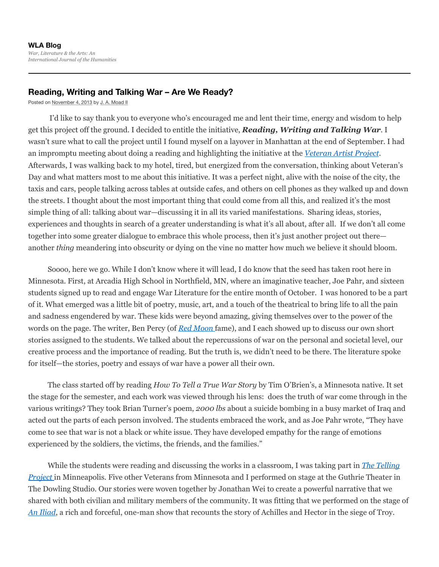## **Reading, Writing and Talking War – Are We Ready?**

Posted on November 4, 2013 by J. A. Moad II

I'd like to say thank you to everyone who's encouraged me and lent their time, energy and wisdom to help get this project off the ground. I decided to entitle the initiative, *Reading, Writing and Talking War*. I wasn't sure what to call the project until I found myself on a layover in Manhattan at the end of September. I had an impromptu meeting about doing a reading and highlighting the initiative at the *Veteran Artist Project*. Afterwards, I was walking back to my hotel, tired, but energized from the conversation, thinking about Veteran's Day and what matters most to me about this initiative. It was a perfect night, alive with the noise of the city, the taxis and cars, people talking across tables at outside cafes, and others on cell phones as they walked up and down the streets. I thought about the most important thing that could come from all this, and realized it's the most simple thing of all: talking about war—discussing it in all its varied manifestations. Sharing ideas, stories, experiences and thoughts in search of a greater understanding is what it's all about, after all. If we don't all come together into some greater dialogue to embrace this whole process, then it's just another project out there another *thing* meandering into obscurity or dying on the vine no matter how much we believe it should bloom.

Soooo, here we go. While I don't know where it will lead, I do know that the seed has taken root here in Minnesota. First, at Arcadia High School in Northfield, MN, where an imaginative teacher, Joe Pahr, and sixteen students signed up to read and engage War Literature for the entire month of October. I was honored to be a part of it. What emerged was a little bit of poetry, music, art, and a touch of the theatrical to bring life to all the pain and sadness engendered by war. These kids were beyond amazing, giving themselves over to the power of the words on the page. The writer, Ben Percy (of *Red Moon* fame), and I each showed up to discuss our own short stories assigned to the students. We talked about the repercussions of war on the personal and societal level, our creative process and the importance of reading. But the truth is, we didn't need to be there. The literature spoke for itself—the stories, poetry and essays of war have a power all their own.

The class started off by reading *How To Tell a True War Story* by Tim O'Brien's, a Minnesota native. It set the stage for the semester, and each work was viewed through his lens: does the truth of war come through in the various writings? They took Brian Turner's poem, *2000 lbs* about a suicide bombing in a busy market of Iraq and acted out the parts of each person involved. The students embraced the work, and as Joe Pahr wrote, "They have come to see that war is not a black or white issue. They have developed empathy for the range of emotions experienced by the soldiers, the victims, the friends, and the families."

While the students were reading and discussing the works in a classroom, I was taking part in *The Telling Project* in Minneapolis*.* Five other Veterans from Minnesota and I performed on stage at the Guthrie Theater in The Dowling Studio. Our stories were woven together by Jonathan Wei to create a powerful narrative that we shared with both civilian and military members of the community. It was fitting that we performed on the stage of *An Iliad*, a rich and forceful, one-man show that recounts the story of Achilles and Hector in the siege of Troy.